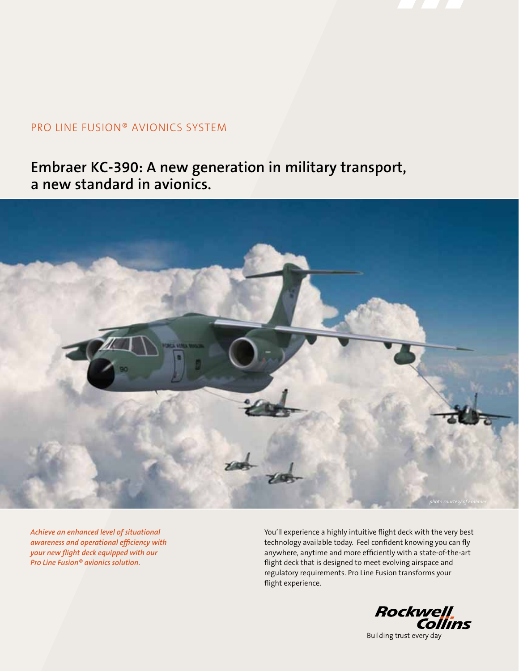

## PRO LINE FUSION® AVIONICS SYSTEM

## **Embraer KC-390: A new generation in military transport, a new standard in avionics.**



*Achieve an enhanced level of situational awareness and operational efficiency with your new flight deck equipped with our Pro Line Fusion® avionics solution.* 

You'll experience a highly intuitive flight deck with the very best technology available today. Feel confident knowing you can fly anywhere, anytime and more efficiently with a state-of-the-art flight deck that is designed to meet evolving airspace and regulatory requirements. Pro Line Fusion transforms your flight experience.

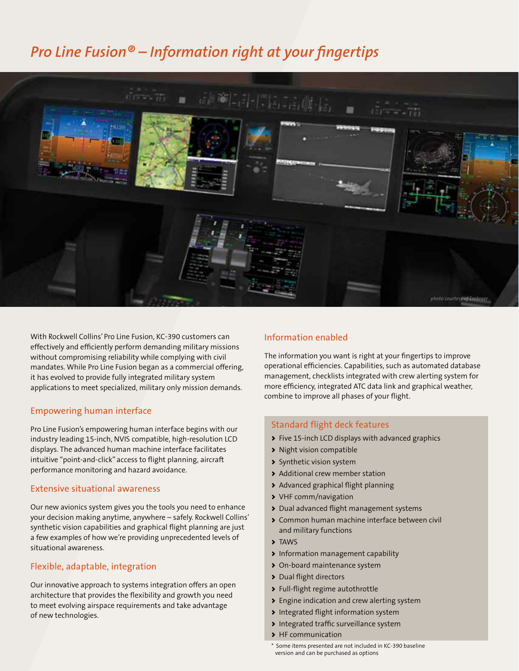## *Pro Line Fusion® – Information right at your fingertips*



With Rockwell Collins' Pro Line Fusion, KC-390 customers can effectively and efficiently perform demanding military missions without compromising reliability while complying with civil mandates. While Pro Line Fusion began as a commercial offering, it has evolved to provide fully integrated military system applications to meet specialized, military only mission demands.

### Empowering human interface

Pro Line Fusion's empowering human interface begins with our industry leading 15-inch, NVIS compatible, high-resolution LCD displays. The advanced human machine interface facilitates intuitive "point-and-click" access to flight planning, aircraft performance monitoring and hazard avoidance.

### Extensive situational awareness

Our new avionics system gives you the tools you need to enhance your decision making anytime, anywhere – safely. Rockwell Collins' synthetic vision capabilities and graphical flight planning are just a few examples of how we're providing unprecedented levels of situational awareness.

### Flexible, adaptable, integration

Our innovative approach to systems integration offers an open architecture that provides the flexibility and growth you need to meet evolving airspace requirements and take advantage of new technologies.

### Information enabled

The information you want is right at your fingertips to improve operational efficiencies. Capabilities, such as automated database management, checklists integrated with crew alerting system for more efficiency, integrated ATC data link and graphical weather, combine to improve all phases of your flight.

### Standard flight deck features

- > Five 15-inch LCD displays with advanced graphics
- > Night vision compatible
- > Synthetic vision system
- > Additional crew member station
- > Advanced graphical flight planning
- > VHF comm/navigation
- > Dual advanced flight management systems
- > Common human machine interface between civil and military functions
- > TAWS
- > Information management capability
- > On-board maintenance system
- > Dual flight directors
- > Full-flight regime autothrottle
- > Engine indication and crew alerting system
- > Integrated flight information system
- > Integrated traffic surveillance system
- > HF communication

<sup>\*</sup> Some items presented are not included in KC-390 baseline version and can be purchased as options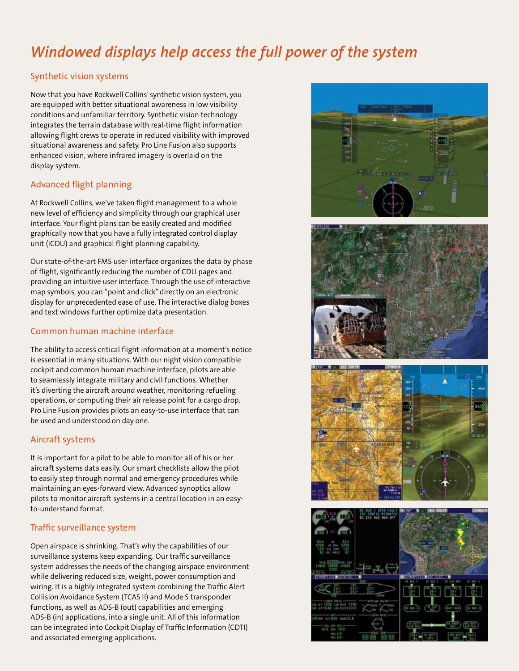# *Windowed displays help access the full power of the system*

## Synthetic vision systems

Now that you have Rockwell Collins' synthetic vision system, you are equipped with better situational awareness in low visibility conditions and unfamiliar territory. Synthetic vision technology integrates the terrain database with real-time flight information allowing flight crews to operate in reduced visibility with improved situational awareness and safety. Pro Line Fusion also supports enhanced vision, where infrared imagery is overlaid on the display system.

## Advanced flight planning

At Rockwell Collins, we've taken flight management to a whole new level of efficiency and simplicity through our graphical user interface. Your flight plans can be easily created and modified graphically now that you have a fully integrated control display unit (ICDU) and graphical flight planning capability.

Our state-of-the-art FMS user interface organizes the data by phase of flight, significantly reducing the number of CDU pages and providing an intuitive user interface. Through the use of interactive map symbols, you can "point and click" directly on an electronic display for unprecedented ease of use. The interactive dialog boxes and text windows further optimize data presentation.

## Common human machine interface

The ability to access critical flight information at a moment's notice is essential in many situations. With our night vision compatible cockpit and common human machine interface, pilots are able to seamlessly integrate military and civil functions. Whether it's diverting the aircraft around weather, monitoring refueling operations, or computing their air release point for a cargo drop, Pro Line Fusion provides pilots an easy-to-use interface that can be used and understood on day one.

## Aircraft systems

It is important for a pilot to be able to monitor all of his or her aircraft systems data easily. Our smart checklists allow the pilot to easily step through normal and emergency procedures while maintaining an eyes-forward view. Advanced synoptics allow pilots to monitor aircraft systems in a central location in an easyto-understand format.

## Traffic surveillance system

Open airspace is shrinking. That's why the capabilities of our surveillance systems keep expanding. Our traffic surveillance system addresses the needs of the changing airspace environment while delivering reduced size, weight, power consumption and wiring. It is a highly integrated system combining the Traffic Alert Collision Avoidance System (TCAS II) and Mode S transponder functions, as well as ADS-B (out) capabilities and emerging ADS-B (in) applications, into a single unit. All of this information can be integrated into Cockpit Display of Traffic Information (CDTI) and associated emerging applications.